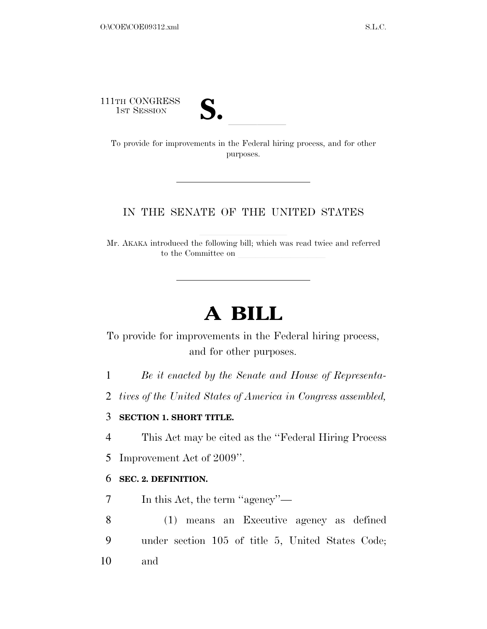111TH CONGRESS



1TH CONGRESS<br>
1ST SESSION<br>
To provide for improvements in the Federal hiring process, and for other purposes.

### IN THE SENATE OF THE UNITED STATES

Mr. AKAKA introduced the following bill; which was read twice and referred to the Committee on

# **A BILL**

To provide for improvements in the Federal hiring process, and for other purposes.

1 *Be it enacted by the Senate and House of Representa-*

2 *tives of the United States of America in Congress assembled,* 

#### 3 **SECTION 1. SHORT TITLE.**

4 This Act may be cited as the ''Federal Hiring Process

5 Improvement Act of 2009''.

### 6 **SEC. 2. DEFINITION.**

7 In this Act, the term ''agency''—

8 (1) means an Executive agency as defined 9 under section 105 of title 5, United States Code; 10 and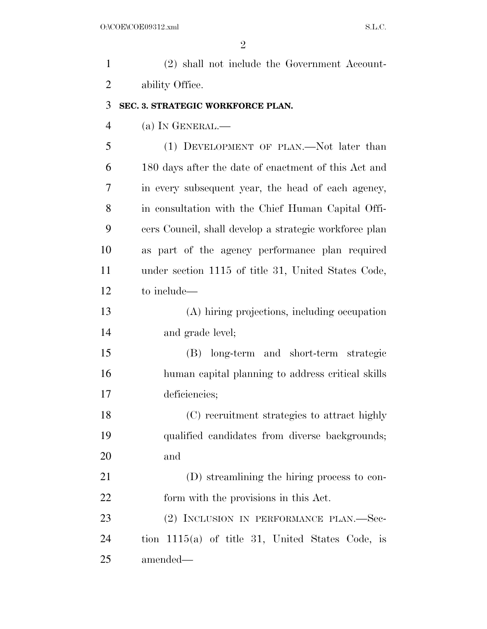| $\mathbf{1}$   | (2) shall not include the Government Account-          |
|----------------|--------------------------------------------------------|
| $\overline{2}$ | ability Office.                                        |
| 3              | SEC. 3. STRATEGIC WORKFORCE PLAN.                      |
| $\overline{4}$ | (a) IN GENERAL.—                                       |
| 5              | (1) DEVELOPMENT OF PLAN.—Not later than                |
| 6              | 180 days after the date of enactment of this Act and   |
| 7              | in every subsequent year, the head of each agency,     |
| 8              | in consultation with the Chief Human Capital Offi-     |
| 9              | cers Council, shall develop a strategic workforce plan |
| 10             | as part of the agency performance plan required        |
| 11             | under section 1115 of title 31, United States Code,    |
| 12             | to include—                                            |
| 13             | (A) hiring projections, including occupation           |
| 14             | and grade level;                                       |
| 15             | (B) long-term and short-term strategic                 |
| 16             | human capital planning to address critical skills      |
| 17             | deficiencies;                                          |
| 18             | (C) recruitment strategies to attract highly           |
| 19             | qualified candidates from diverse backgrounds;         |
| 20             | and                                                    |
| 21             | (D) streamlining the hiring process to con-            |
| 22             | form with the provisions in this Act.                  |
| 23             | (2) INCLUSION IN PERFORMANCE PLAN.-Sec-                |
| 24             | tion $1115(a)$ of title 31, United States Code, is     |
| 25             | amended—                                               |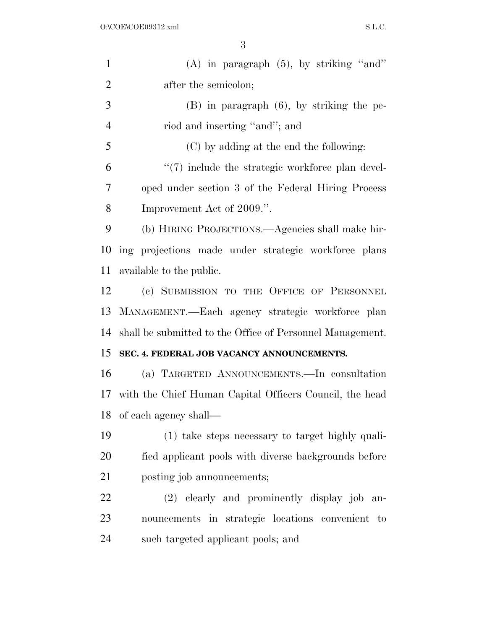| $\mathbf{1}$   | $(A)$ in paragraph $(5)$ , by striking "and"              |
|----------------|-----------------------------------------------------------|
| $\overline{2}$ | after the semicolon;                                      |
| 3              | $(B)$ in paragraph $(6)$ , by striking the pe-            |
| $\overline{4}$ | riod and inserting "and"; and                             |
| 5              | (C) by adding at the end the following:                   |
| 6              | $\lq(7)$ include the strategic workforce plan devel-      |
| 7              | oped under section 3 of the Federal Hiring Process        |
| 8              | Improvement Act of 2009.".                                |
| 9              | (b) HIRING PROJECTIONS.—Agencies shall make hir-          |
| 10             | ing projections made under strategic workforce plans      |
| 11             | available to the public.                                  |
| 12             | (c) SUBMISSION TO THE OFFICE OF PERSONNEL                 |
| 13             | MANAGEMENT. - Each agency strategic workforce plan        |
| 14             | shall be submitted to the Office of Personnel Management. |
| 15             | SEC. 4. FEDERAL JOB VACANCY ANNOUNCEMENTS.                |
| 16             | (a) TARGETED ANNOUNCEMENTS. In consultation               |
| 17             | with the Chief Human Capital Officers Council, the head   |
| 18             | of each agency shall—                                     |
| 19             | (1) take steps necessary to target highly quali-          |
| 20             | fied applicant pools with diverse backgrounds before      |
| 21             | posting job announcements;                                |
| 22             | (2) elearly and prominently display job an-               |
| 23             | nouncements in strategic locations convenient to          |
| 24             | such targeted applicant pools; and                        |
|                |                                                           |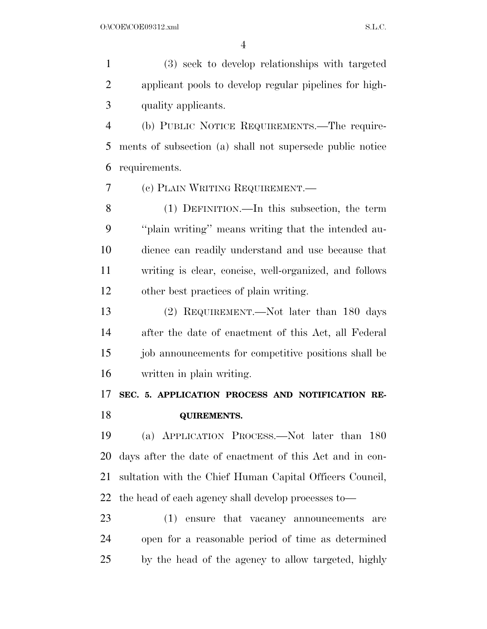(3) seek to develop relationships with targeted applicant pools to develop regular pipelines for high-quality applicants.

 (b) PUBLIC NOTICE REQUIREMENTS.—The require- ments of subsection (a) shall not supersede public notice requirements.

(c) PLAIN WRITING REQUIREMENT.—

 (1) DEFINITION.—In this subsection, the term ''plain writing'' means writing that the intended au- dience can readily understand and use because that writing is clear, concise, well-organized, and follows other best practices of plain writing.

 (2) REQUIREMENT.—Not later than 180 days after the date of enactment of this Act, all Federal 15 job announcements for competitive positions shall be written in plain writing.

## **SEC. 5. APPLICATION PROCESS AND NOTIFICATION RE-QUIREMENTS.**

 (a) APPLICATION PROCESS.—Not later than 180 days after the date of enactment of this Act and in con- sultation with the Chief Human Capital Officers Council, the head of each agency shall develop processes to—

 (1) ensure that vacancy announcements are open for a reasonable period of time as determined by the head of the agency to allow targeted, highly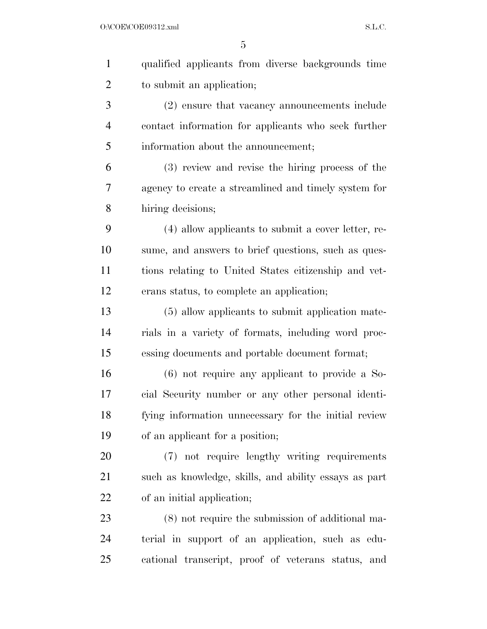| $\mathbf{1}$   | qualified applicants from diverse backgrounds time    |
|----------------|-------------------------------------------------------|
| $\overline{2}$ | to submit an application;                             |
| 3              | (2) ensure that vacancy announcements include         |
| $\overline{4}$ | contact information for applicants who seek further   |
| 5              | information about the announcement;                   |
| 6              | (3) review and revise the hiring process of the       |
| 7              | agency to create a streamlined and timely system for  |
| 8              | hiring decisions;                                     |
| 9              | (4) allow applicants to submit a cover letter, re-    |
| 10             | sume, and answers to brief questions, such as ques-   |
| 11             | tions relating to United States citizenship and vet-  |
| 12             | erans status, to complete an application;             |
| 13             | (5) allow applicants to submit application mate-      |
| 14             | rials in a variety of formats, including word proc-   |
| 15             | essing documents and portable document format;        |
| 16             | $(6)$ not require any applicant to provide a So-      |
| 17             | cial Security number or any other personal identi-    |
| 18             | fying information unnecessary for the initial review  |
| 19             | of an applicant for a position;                       |
| 20             | (7) not require lengthy writing requirements          |
| 21             | such as knowledge, skills, and ability essays as part |
| 22             | of an initial application;                            |
| 23             | (8) not require the submission of additional ma-      |
| 24             | terial in support of an application, such as edu-     |
| 25             | cational transcript, proof of veterans status, and    |
|                |                                                       |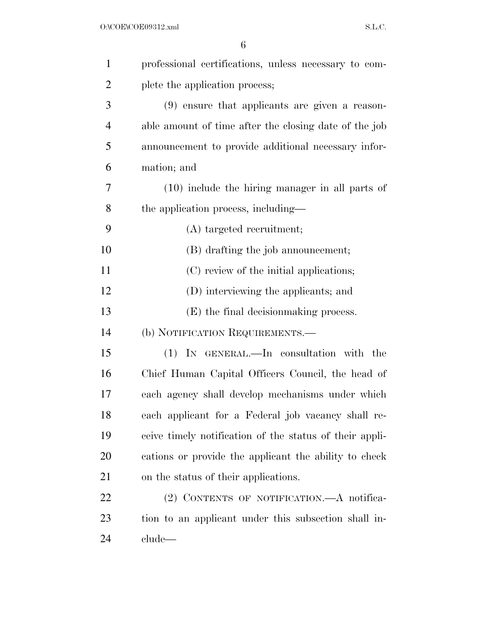| $\mathbf{1}$   | professional certifications, unless necessary to com-   |
|----------------|---------------------------------------------------------|
| $\overline{2}$ | plete the application process;                          |
| 3              | $(9)$ ensure that applicants are given a reason-        |
| 4              | able amount of time after the closing date of the job   |
| 5              | announcement to provide additional necessary infor-     |
| 6              | mation; and                                             |
| 7              | $(10)$ include the hiring manager in all parts of       |
| 8              | the application process, including—                     |
| 9              | (A) targeted recruitment;                               |
| 10             | (B) drafting the job announcement;                      |
| 11             | (C) review of the initial applications;                 |
| 12             | (D) interviewing the applicants; and                    |
| 13             | (E) the final decision making process.                  |
| 14             | (b) NOTIFICATION REQUIREMENTS.—                         |
| 15             | (1) IN GENERAL.—In consultation with the                |
| 16             | Chief Human Capital Officers Council, the head of       |
| 17             | each agency shall develop mechanisms under which        |
| 18             | each applicant for a Federal job vacancy shall re-      |
| 19             | ceive timely notification of the status of their appli- |
| <b>20</b>      | cations or provide the applicant the ability to check   |
| 21             | on the status of their applications.                    |
| 22             | (2) CONTENTS OF NOTIFICATION.—A notifica-               |
| 23             | tion to an applicant under this subsection shall in-    |
| 24             | $_{\rm clude}$                                          |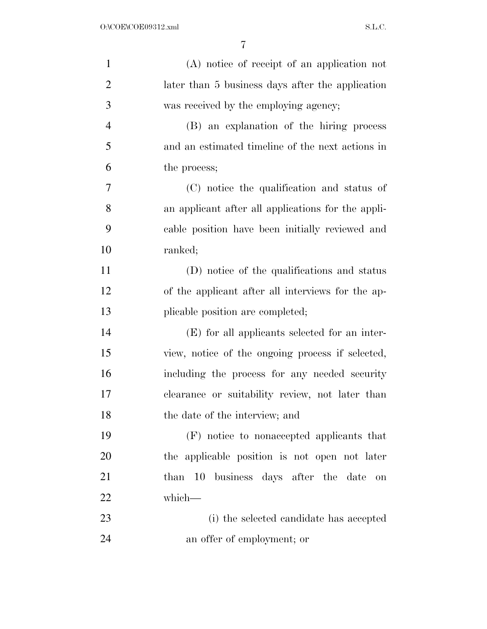| $\mathbf{1}$   | (A) notice of receipt of an application not        |
|----------------|----------------------------------------------------|
| $\overline{2}$ | later than 5 business days after the application   |
| 3              | was received by the employing agency;              |
| $\overline{4}$ | (B) an explanation of the hiring process           |
| 5              | and an estimated timeline of the next actions in   |
| 6              | the process;                                       |
| 7              | (C) notice the qualification and status of         |
| 8              | an applicant after all applications for the appli- |
| 9              | cable position have been initially reviewed and    |
| 10             | ranked;                                            |
| 11             | (D) notice of the qualifications and status        |
| 12             | of the applicant after all interviews for the ap-  |
| 13             | plicable position are completed;                   |
| 14             | (E) for all applicants selected for an inter-      |
| 15             | view, notice of the ongoing process if selected,   |
| 16             | including the process for any needed security      |
| 17             | clearance or suitability review, not later than    |
| 18             | the date of the interview; and                     |
| 19             | (F) notice to nonaccepted applicants that          |
| 20             | the applicable position is not open not later      |
| 21             | than 10 business days after the date<br><b>on</b>  |
| 22             | which-                                             |
| 23             | (i) the selected candidate has accepted            |
| 24             | an offer of employment; or                         |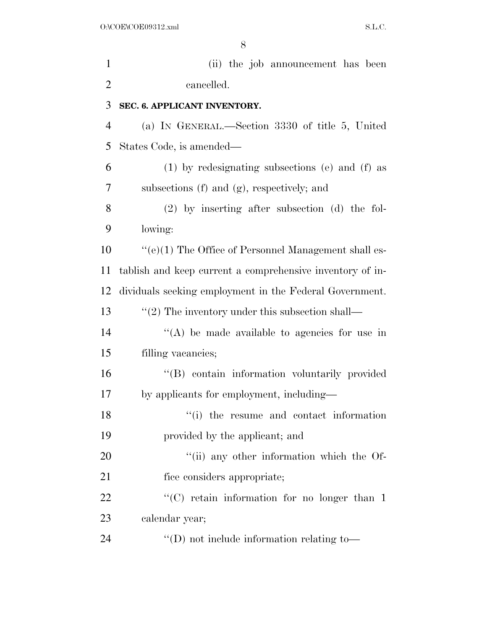| $\mathbf{1}$   | (ii) the job announcement has been                        |
|----------------|-----------------------------------------------------------|
| $\overline{2}$ | cancelled.                                                |
| 3              | SEC. 6. APPLICANT INVENTORY.                              |
| $\overline{4}$ | (a) IN GENERAL.—Section 3330 of title 5, United           |
| 5              | States Code, is amended—                                  |
| 6              | (1) by redesignating subsections (e) and (f) as           |
| 7              | subsections (f) and (g), respectively; and                |
| 8              | $(2)$ by inserting after subsection $(d)$ the fol-        |
| 9              | lowing:                                                   |
| 10             | $``(e)(1)$ The Office of Personnel Management shall es-   |
| 11             | tablish and keep current a comprehensive inventory of in- |
| 12             | dividuals seeking employment in the Federal Government.   |
| 13             | $\lq(2)$ The inventory under this subsection shall—       |
| 14             | $\lq\lq$ be made available to agencies for use in         |
| 15             | filling vacancies;                                        |
| 16             | "(B) contain information voluntarily provided             |
| 17             | by applicants for employment, including—                  |
| 18             | "(i) the resume and contact information                   |
| 19             | provided by the applicant; and                            |
| 20             | "(ii) any other information which the Of-                 |
| 21             | fice considers appropriate;                               |
| 22             | " $(C)$ retain information for no longer than 1           |
| 23             | calendar year;                                            |
| 24             | $\lq\lq$ (D) not include information relating to-         |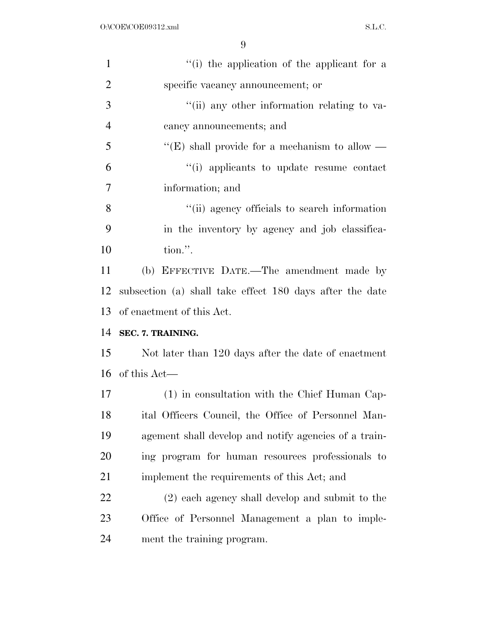| $\mathbf{1}$   | "(i) the application of the applicant for a              |
|----------------|----------------------------------------------------------|
| $\overline{2}$ | specific vacancy announcement; or                        |
| 3              | "(ii) any other information relating to va-              |
| $\overline{4}$ | cancy announcements; and                                 |
| 5              | "(E) shall provide for a mechanism to allow —            |
| 6              | "(i) applicants to update resume contact                 |
| $\overline{7}$ | information; and                                         |
| 8              | "(ii) agency officials to search information             |
| 9              | in the inventory by agency and job classifica-           |
| 10             | tion.".                                                  |
| 11             | (b) EFFECTIVE DATE.—The amendment made by                |
| 12             | subsection (a) shall take effect 180 days after the date |
|                |                                                          |
|                | of enactment of this Act.                                |
|                | SEC. 7. TRAINING.                                        |
| 13<br>14<br>15 | Not later than 120 days after the date of enactment      |
| 16             | of this Act—                                             |
| 17             | (1) in consultation with the Chief Human Cap-            |
| 18             | ital Officers Council, the Office of Personnel Man-      |
| 19             | agement shall develop and notify agencies of a train-    |
| 20             | ing program for human resources professionals to         |
| 21             | implement the requirements of this Act; and              |
| 22             | (2) each agency shall develop and submit to the          |
| 23             | Office of Personnel Management a plan to imple-          |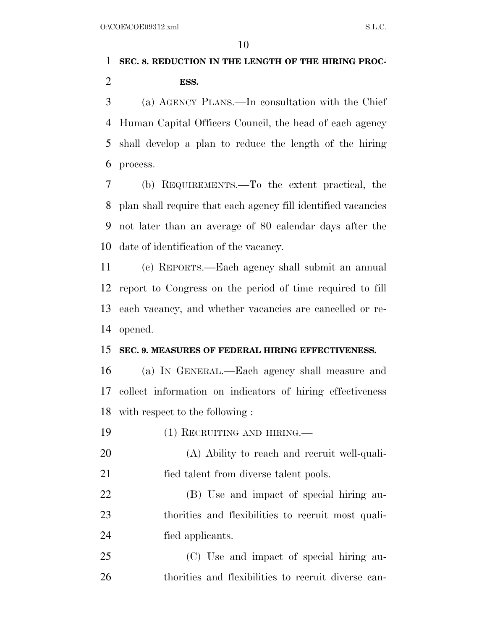### **SEC. 8. REDUCTION IN THE LENGTH OF THE HIRING PROC-ESS.**

 (a) AGENCY PLANS.—In consultation with the Chief Human Capital Officers Council, the head of each agency shall develop a plan to reduce the length of the hiring process.

 (b) REQUIREMENTS.—To the extent practical, the plan shall require that each agency fill identified vacancies not later than an average of 80 calendar days after the date of identification of the vacancy.

 (c) REPORTS.—Each agency shall submit an annual report to Congress on the period of time required to fill each vacancy, and whether vacancies are cancelled or re-opened.

#### **SEC. 9. MEASURES OF FEDERAL HIRING EFFECTIVENESS.**

 (a) IN GENERAL.—Each agency shall measure and collect information on indicators of hiring effectiveness with respect to the following :

(1) RECRUITING AND HIRING.—

 (A) Ability to reach and recruit well-quali-fied talent from diverse talent pools.

 (B) Use and impact of special hiring au- thorities and flexibilities to recruit most quali-fied applicants.

 (C) Use and impact of special hiring au-thorities and flexibilities to recruit diverse can-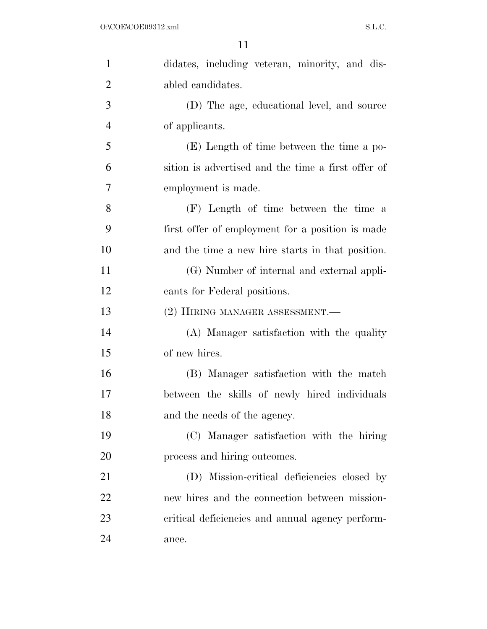| $\mathbf{1}$   | didates, including veteran, minority, and dis-     |
|----------------|----------------------------------------------------|
| $\overline{2}$ | abled candidates.                                  |
| 3              | (D) The age, educational level, and source         |
| $\overline{4}$ | of applicants.                                     |
| 5              | (E) Length of time between the time a po-          |
| 6              | sition is advertised and the time a first offer of |
| 7              | employment is made.                                |
| 8              | (F) Length of time between the time a              |
| 9              | first offer of employment for a position is made   |
| 10             | and the time a new hire starts in that position.   |
| 11             | (G) Number of internal and external appli-         |
| 12             | cants for Federal positions.                       |
| 13             | (2) HIRING MANAGER ASSESSMENT.-                    |
| 14             | (A) Manager satisfaction with the quality          |
| 15             | of new hires.                                      |
| 16             | (B) Manager satisfaction with the match            |
| 17             | between the skills of newly hired individuals      |
| 18             | and the needs of the agency.                       |
| 19             | (C) Manager satisfaction with the hiring           |
| 20             | process and hiring outcomes.                       |
| 21             | (D) Mission-critical deficiencies closed by        |
| 22             | new hires and the connection between mission-      |
| 23             | critical deficiencies and annual agency perform-   |
| 24             | ance.                                              |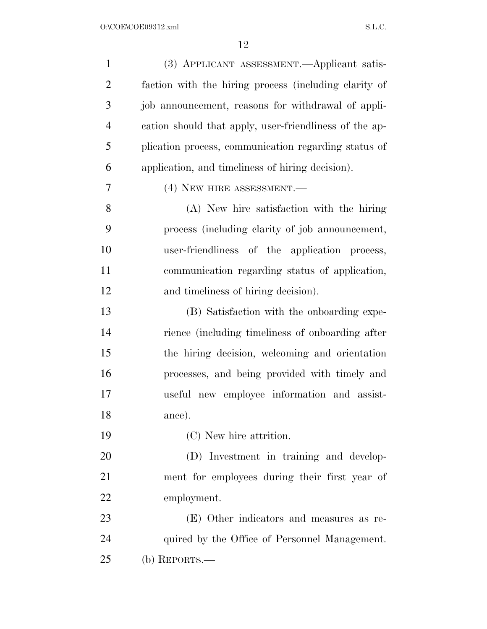| $\mathbf{1}$   | (3) APPLICANT ASSESSMENT.—Applicant satis-             |
|----------------|--------------------------------------------------------|
| $\overline{2}$ | faction with the hiring process (including clarity of  |
| 3              | job announcement, reasons for withdrawal of appli-     |
| $\overline{4}$ | cation should that apply, user-friendliness of the ap- |
| 5              | plication process, communication regarding status of   |
| 6              | application, and timeliness of hiring decision).       |
| 7              | (4) NEW HIRE ASSESSMENT.                               |
| 8              | (A) New hire satisfaction with the hiring              |
| 9              | process (including clarity of job announcement,        |
| 10             | user-friendliness of the application process,          |
| 11             | communication regarding status of application,         |
| 12             | and timeliness of hiring decision).                    |
| 13             | (B) Satisfaction with the onboarding expe-             |
| 14             | rience (including timeliness of onboarding after       |
| 15             | the hiring decision, welcoming and orientation         |
| 16             | processes, and being provided with timely and          |
| 17             | useful new employee information and assist-            |
| 18             | ance).                                                 |
| 19             | (C) New hire attrition.                                |
| 20             | (D) Investment in training and develop-                |
| 21             | ment for employees during their first year of          |
| 22             | employment.                                            |
| 23             | (E) Other indicators and measures as re-               |
| 24             | quired by the Office of Personnel Management.          |
| 25             | (b) REPORTS.—                                          |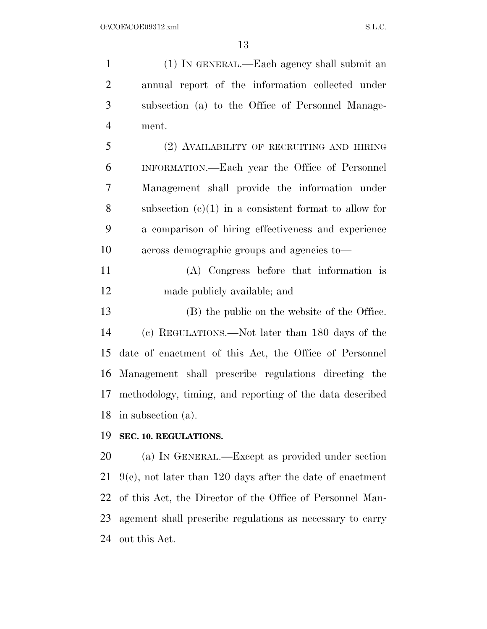(1) IN GENERAL.—Each agency shall submit an annual report of the information collected under subsection (a) to the Office of Personnel Manage- ment. (2) AVAILABILITY OF RECRUITING AND HIRING INFORMATION.—Each year the Office of Personnel Management shall provide the information under subsection (c)(1) in a consistent format to allow for a comparison of hiring effectiveness and experience across demographic groups and agencies to— (A) Congress before that information is made publicly available; and (B) the public on the website of the Office. (c) REGULATIONS.—Not later than 180 days of the date of enactment of this Act, the Office of Personnel Management shall prescribe regulations directing the methodology, timing, and reporting of the data described in subsection (a). **SEC. 10. REGULATIONS.**  (a) IN GENERAL.—Except as provided under section

 9(c), not later than 120 days after the date of enactment of this Act, the Director of the Office of Personnel Man- agement shall prescribe regulations as necessary to carry out this Act.